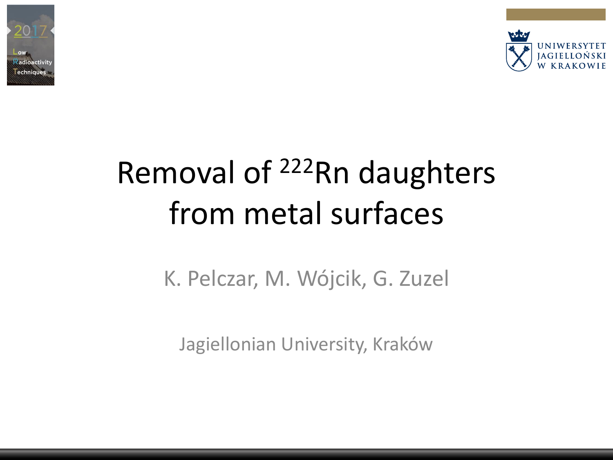



# Removal of <sup>222</sup>Rn daughters from metal surfaces

K. Pelczar, M. Wójcik, G. Zuzel

Jagiellonian University, Kraków

**LRT 2017 Seoul Page: 1 Jagiellonian University**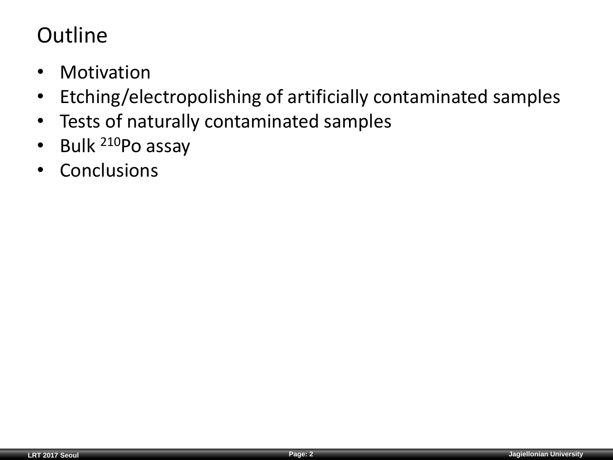#### **Outline**

- Motivation
- Etching/electropolishing of artificially contaminated samples
- Tests of naturally contaminated samples
- Bulk <sup>210</sup>Po assay
- Conclusions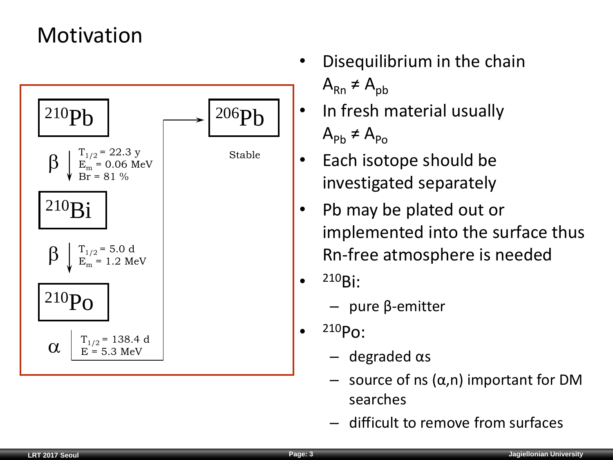#### Motivation



- Disequilibrium in the chain  $A_{\rm Rn} \neq A_{\rm pb}$
- In fresh material usually  $A_{\text{ph}} \neq A_{\text{p}_{\Omega}}$
- Each isotope should be investigated separately
- Pb may be plated out or implemented into the surface thus Rn-free atmosphere is needed
- <sup>210</sup>Bi:
	- pure β-emitter
- <sup>210</sup>Po:
	- degraded αs
	- source of ns (α,n) important for DM searches
	- difficult to remove from surfaces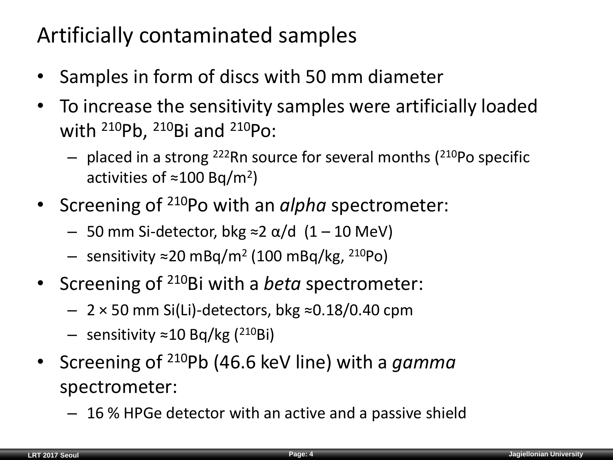#### Artificially contaminated samples

- Samples in form of discs with 50 mm diameter
- To increase the sensitivity samples were artificially loaded with  $^{210}Pb$ ,  $^{210}Bi$  and  $^{210}Po$ :
	- $-$  placed in a strong <sup>222</sup>Rn source for several months ( $210P$ o specific activities of ≈100 Bq/m<sup>2</sup>)
- Screening of <sup>210</sup>Po with an *alpha* spectrometer:
	- 50 mm Si-detector, bkg ≈2 α/d (1 10 MeV)
	- sensitivity ≈20 mBq/m<sup>2</sup> (100 mBq/kg, <sup>210</sup>Po)
- Screening of <sup>210</sup>Bi with a *beta* spectrometer:
	- $-$  2 × 50 mm Si(Li)-detectors, bkg ≈0.18/0.40 cpm
	- sensitivity ≈10 Bq/kg (<sup>210</sup>Bi)
- Screening of <sup>210</sup>Pb (46.6 keV line) with a *gamma*  spectrometer:
	- 16 % HPGe detector with an active and a passive shield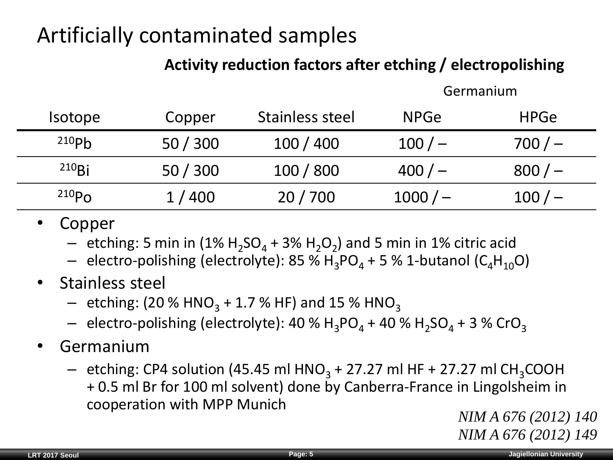#### Artificially contaminated samples

#### **Activity reduction factors after etching / electropolishing**

Germanium

| <i>Isotope</i>    | Copper | Stainless steel | <b>NPGe</b> | <b>HPGe</b> |
|-------------------|--------|-----------------|-------------|-------------|
| 210P <sub>b</sub> | 50/300 | 100/400         | $100/-$     | $700/-$     |
| $210$ Bi          | 50/300 | 100 / 800       | 400/        | $800/-$     |
| 210P <sub>0</sub> | 1/400  | 20/700          | $1000/-$    | $100/-$     |

- Copper
	- $-$  etching: 5 min in (1%  $H_2SO_4 + 3% H_2O_2$ ) and 5 min in 1% citric acid
	- $-$  electro-polishing (electrolyte): 85 % H<sub>3</sub>PO<sub>4</sub> + 5 % 1-butanol (C<sub>4</sub>H<sub>10</sub>O)
- Stainless steel
	- $-$  etching: (20 % HNO<sub>3</sub> + 1.7 % HF) and 15 % HNO<sub>3</sub>
	- $-$  electro-polishing (electrolyte): 40 % H<sub>3</sub>PO<sub>4</sub> + 40 % H<sub>2</sub>SO<sub>4</sub> + 3 % CrO<sub>3</sub>
- Germanium
	- $-$  etching: CP4 solution (45.45 ml HNO<sub>3</sub> + 27.27 ml HF + 27.27 ml CH<sub>3</sub>COOH + 0.5 ml Br for 100 ml solvent) done by Canberra-France in Lingolsheim in cooperation with MPP Munich

*NIM A 676 (2012) 140 NIM A 676 (2012) 149*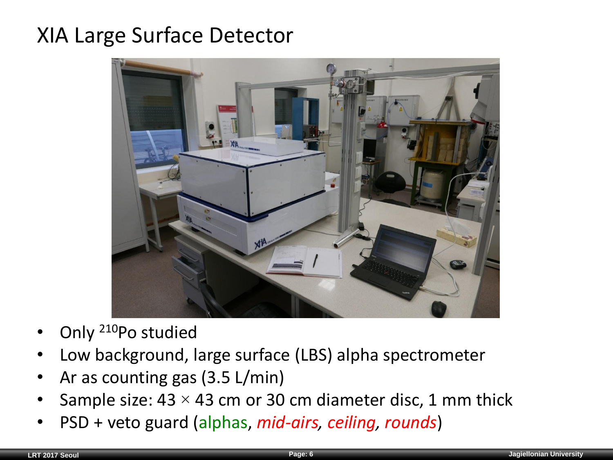#### XIA Large Surface Detector



- Only <sup>210</sup>Po studied
- Low background, large surface (LBS) alpha spectrometer
- Ar as counting gas (3.5 L/min)
- Sample size:  $43 \times 43$  cm or 30 cm diameter disc, 1 mm thick
- PSD + veto guard (alphas, *mid-airs, ceiling, rounds*)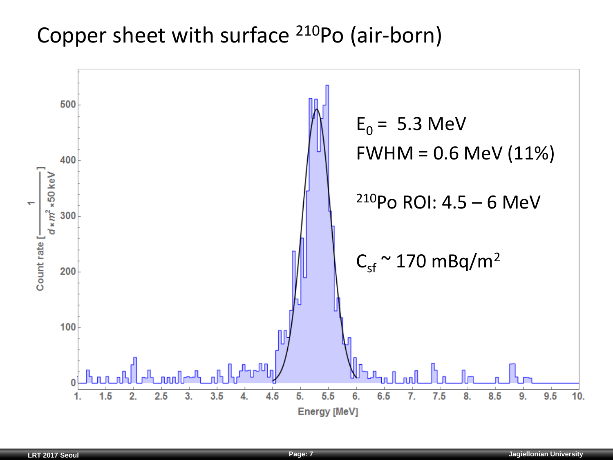#### Copper sheet with surface <sup>210</sup>Po (air-born)

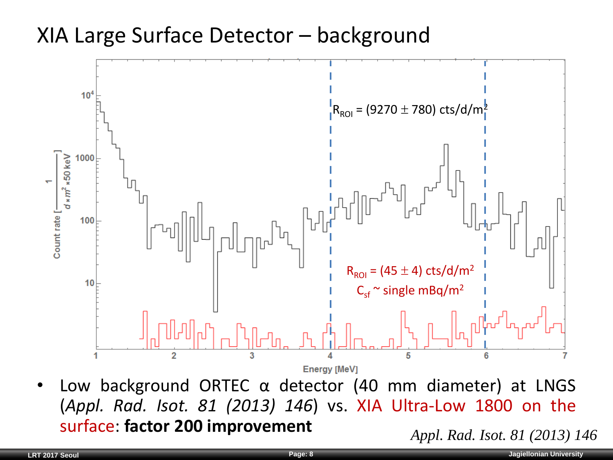#### XIA Large Surface Detector – background



Low background ORTEC  $\alpha$  detector (40 mm diameter) at LNGS (*Appl. Rad. Isot. 81 (2013) 146*) vs. XIA Ultra-Low 1800 on the surface: **factor 200 improvement** *Appl. Rad. Isot. 81 (2013) 146*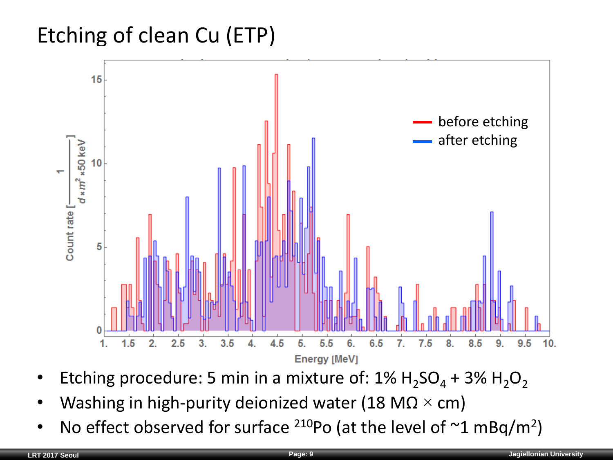#### Etching of clean Cu (ETP)



- Etching procedure: 5 min in a mixture of:  $1\%$  H<sub>2</sub>SO<sub>4</sub> + 3% H<sub>2</sub>O<sub>2</sub>
- Washing in high-purity deionized water (18 M $\Omega \times$  cm)
- No effect observed for surface  $210P$ o (at the level of  $~1$  mBq/m<sup>2</sup>)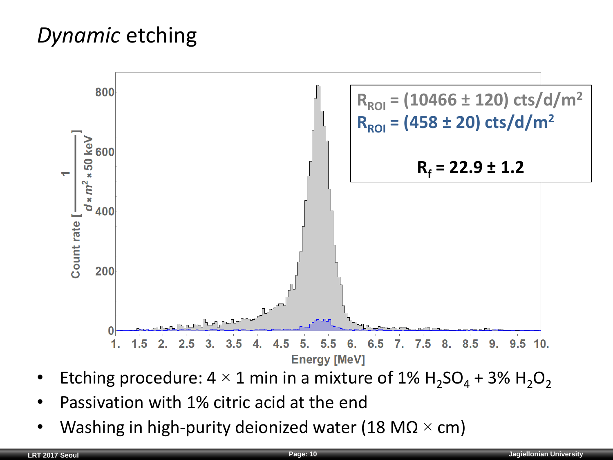#### *Dynamic* etching



- Etching procedure:  $4 \times 1$  min in a mixture of  $1\%$  H<sub>2</sub>SO<sub>4</sub> + 3% H<sub>2</sub>O<sub>2</sub>
- Passivation with 1% citric acid at the end
- Washing in high-purity deionized water (18 M $\Omega \times$  cm)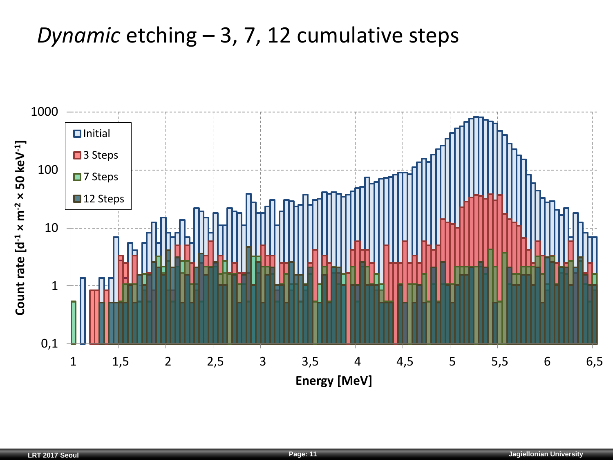#### *Dynamic* etching – 3, 7, 12 cumulative steps

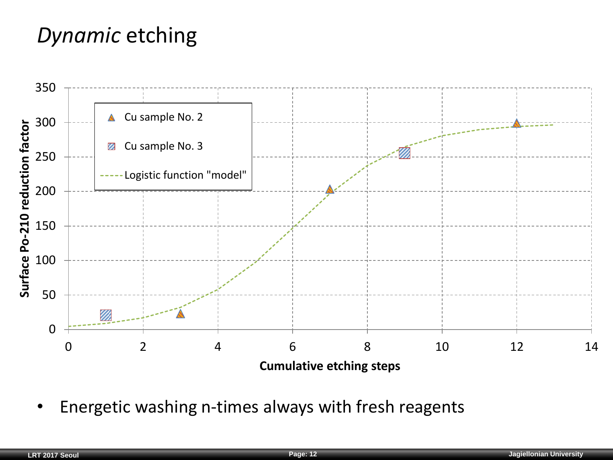#### *Dynamic* etching



• Energetic washing n-times always with fresh reagents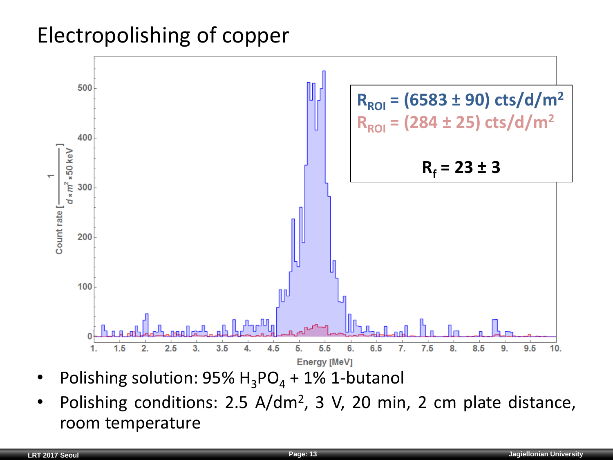#### Electropolishing of copper



- Polishing solution:  $95\%$  H<sub>3</sub>PO<sub>4</sub> + 1% 1-butanol
- Polishing conditions: 2.5 A/dm<sup>2</sup>, 3 V, 20 min, 2 cm plate distance, room temperature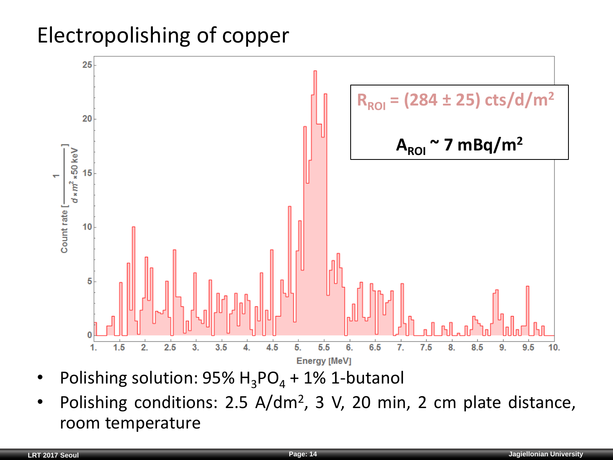#### Electropolishing of copper



- Polishing solution:  $95\%$  H<sub>3</sub>PO<sub>4</sub> + 1% 1-butanol
- Polishing conditions: 2.5 A/dm<sup>2</sup>, 3 V, 20 min, 2 cm plate distance, room temperature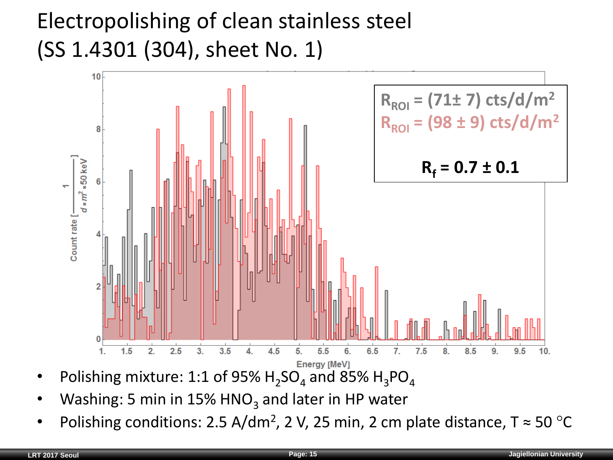### Electropolishing of clean stainless steel (SS 1.4301 (304), sheet No. 1)



- Polishing mixture: 1:1 of 95%  $H_2SO_4$  and 85%  $H_3PO_4$
- Washing: 5 min in  $15\%$  HNO<sub>3</sub> and later in HP water
- Polishing conditions: 2.5 A/dm<sup>2</sup>, 2 V, 25 min, 2 cm plate distance,  $T \approx 50$  °C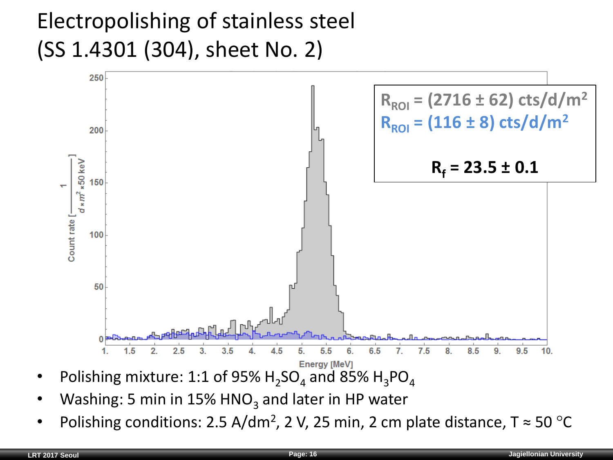### Electropolishing of stainless steel (SS 1.4301 (304), sheet No. 2)



- Polishing mixture: 1:1 of 95%  $H_2SO_4$  and 85%  $H_3PO_4$
- Washing: 5 min in  $15\%$  HNO<sub>3</sub> and later in HP water
- Polishing conditions: 2.5 A/dm<sup>2</sup>, 2 V, 25 min, 2 cm plate distance,  $T \approx 50$  °C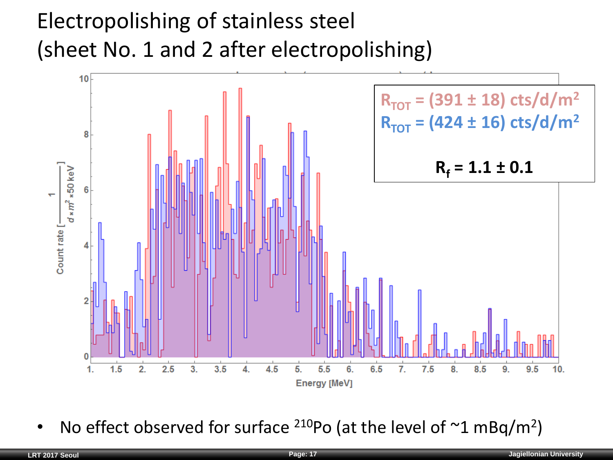## Electropolishing of stainless steel (sheet No. 1 and 2 after electropolishing)



• No effect observed for surface  $210P$ o (at the level of  $~1$  mBq/m<sup>2</sup>)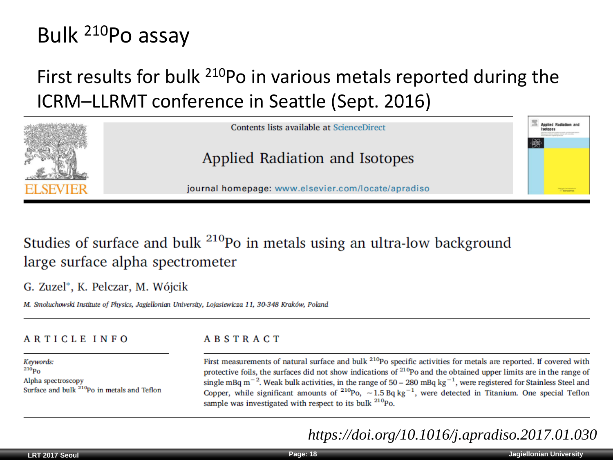#### Bulk <sup>210</sup>Po assay

#### First results for bulk <sup>210</sup>Po in various metals reported during the ICRM–LLRMT conference in Seattle (Sept. 2016)



#### Studies of surface and bulk <sup>210</sup>Po in metals using an ultra-low background large surface alpha spectrometer

G. Zuzel\*, K. Pelczar, M. Wójcik

M. Smoluchowski Institute of Physics, Jagiellonian University, Lojasiewicza 11, 30-348 Kraków, Poland

#### **ARTICLE INFO**

#### **ABSTRACT**

Keywords:  $^{210}P_0$ Alpha spectroscopy Surface and bulk <sup>210</sup>Po in metals and Teflon First measurements of natural surface and bulk <sup>210</sup>Po specific activities for metals are reported. If covered with protective foils, the surfaces did not show indications of  $2^{10}$ Po and the obtained upper limits are in the range of single mBq m<sup>-2</sup>. Weak bulk activities, in the range of 50 – 280 mBq kg<sup>-1</sup>, were registered for Stainless Steel and Copper, while significant amounts of  $^{210}P_0$ ,  $\sim 1.5$  Bq kg<sup>-1</sup>, were detected in Titanium. One special Teflon sample was investigated with respect to its bulk <sup>210</sup>Po.

*https://doi.org/10.1016/j.apradiso.2017.01.030*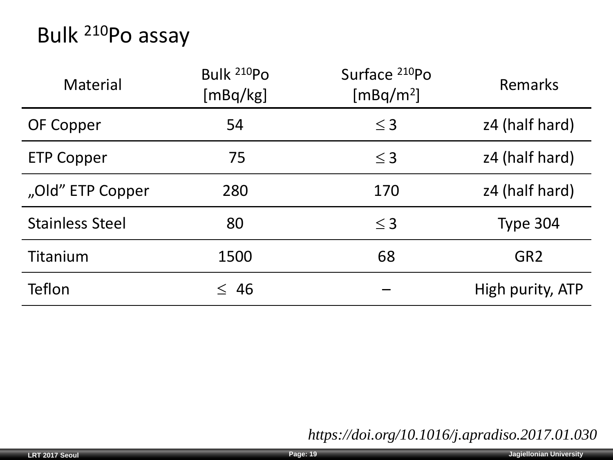#### Bulk <sup>210</sup>Po assay

| <b>Material</b>        | Bulk <sup>210</sup> Po<br>[mBq/kg] | Surface 210Po<br>[mBq/m <sup>2</sup> ] | Remarks          |
|------------------------|------------------------------------|----------------------------------------|------------------|
| OF Copper              | 54                                 | $\leq$ 3                               | z4 (half hard)   |
| <b>ETP Copper</b>      | 75                                 | $\leq$ 3                               | z4 (half hard)   |
| "Old" ETP Copper       | 280                                | 170                                    | z4 (half hard)   |
| <b>Stainless Steel</b> | 80                                 | $\leq$ 3                               | Type 304         |
| Titanium               | 1500                               | 68                                     | GR <sub>2</sub>  |
| Teflon                 | $\leq 46$                          |                                        | High purity, ATP |

*https://doi.org/10.1016/j.apradiso.2017.01.030*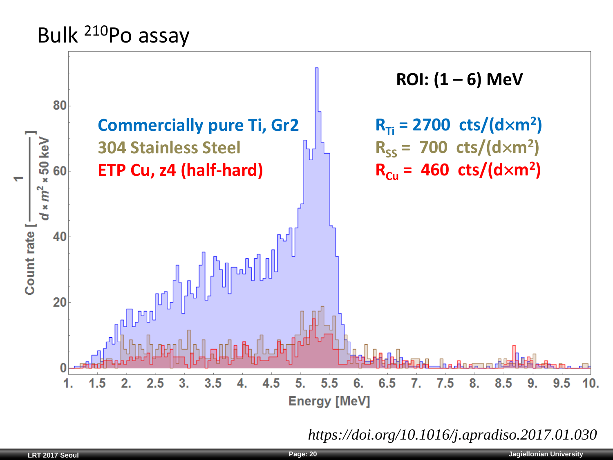#### Bulk <sup>210</sup>Po assay



*https://doi.org/10.1016/j.apradiso.2017.01.030*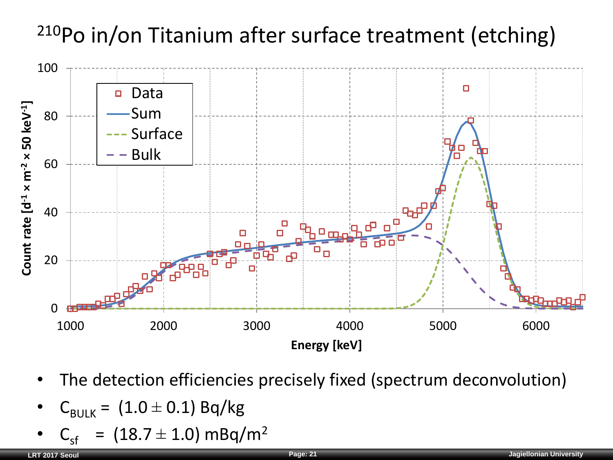# <sup>210</sup>Po in/on Titanium after surface treatment (etching)



- The detection efficiencies precisely fixed (spectrum deconvolution)
- $C_{\text{BULK}} = (1.0 \pm 0.1)$  Bq/kg
- $C_{\rm cf}$  = (18.7  $\pm$  1.0) mBq/m<sup>2</sup>